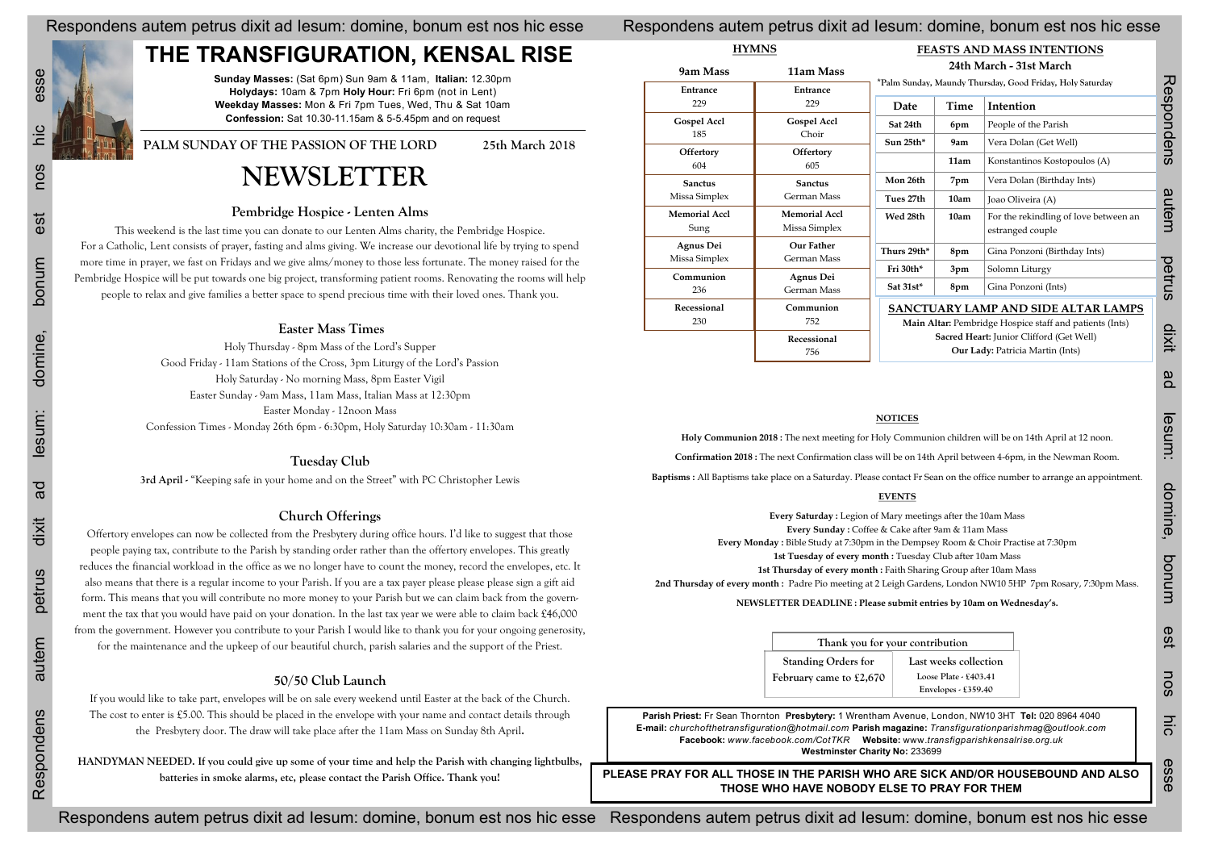Respondens

esse

Respondens autem petrus dixit ad Iesum: domine, bonum est nos hic esse Respondens autem petrus dixit ad Iesum: domine, bonum est nos hic esse

### Respondens autem petrus dixit ad Iesum: domine, bonum est nos hic esse Res

## **THE TRANSFIGURATION, KENSAL RISE**

**Sunday Masses:** (Sat 6pm) Sun 9am & 11am, **Italian:** 12.30pm **Holydays:** 10am & 7pm **Holy Hour:** Fri 6pm (not in Lent) **Weekday Masses:** Mon & Fri 7pm Tues, Wed, Thu & Sat 10am **Confession:** Sat 10.30-11.15am & 5-5.45pm and on request

PALM SUNDAY OF THE PASSION OF THE LORD 25th March 2018

# **NEWSLETTER**

|                                       |                                                                                                                                                                                                                                                                                             |                                                                                      |                                                                                                     | Respondens autem petrus dixit ad lesum: domine, bonum est nos hic esse                                                                                                                                                                                     |
|---------------------------------------|---------------------------------------------------------------------------------------------------------------------------------------------------------------------------------------------------------------------------------------------------------------------------------------------|--------------------------------------------------------------------------------------|-----------------------------------------------------------------------------------------------------|------------------------------------------------------------------------------------------------------------------------------------------------------------------------------------------------------------------------------------------------------------|
| <b>HYMNS</b>                          |                                                                                                                                                                                                                                                                                             |                                                                                      |                                                                                                     | FEASTS AND MASS INTENTIONS                                                                                                                                                                                                                                 |
| 9am Mass                              | 11am Mass                                                                                                                                                                                                                                                                                   | 24th March - 31st March<br>*Palm Sunday, Maundy Thursday, Good Friday, Holy Saturday |                                                                                                     |                                                                                                                                                                                                                                                            |
| Entrance<br>229                       | <b>Entrance</b><br>229                                                                                                                                                                                                                                                                      |                                                                                      |                                                                                                     |                                                                                                                                                                                                                                                            |
| <b>Gospel Accl</b>                    | <b>Gospel Accl</b>                                                                                                                                                                                                                                                                          | Date                                                                                 | Time                                                                                                | Intention                                                                                                                                                                                                                                                  |
| 185                                   | Choir                                                                                                                                                                                                                                                                                       | Sat 24th                                                                             | 6pm                                                                                                 | People of the Parish                                                                                                                                                                                                                                       |
| Offertory                             | Offertory                                                                                                                                                                                                                                                                                   | Sun 25th*                                                                            | 9am                                                                                                 | Vera Dolan (Get Well)                                                                                                                                                                                                                                      |
| 604                                   | 605                                                                                                                                                                                                                                                                                         |                                                                                      | 11am                                                                                                | Konstantinos Kostopoulos (A)                                                                                                                                                                                                                               |
| <b>Sanctus</b>                        | <b>Sanctus</b>                                                                                                                                                                                                                                                                              | Mon 26th                                                                             | 7pm                                                                                                 | Vera Dolan (Birthday Ints)                                                                                                                                                                                                                                 |
| Missa Simplex<br><b>Memorial Accl</b> | German Mass<br><b>Memorial Accl</b>                                                                                                                                                                                                                                                         | Tues 27th                                                                            | 10am                                                                                                | Joao Oliveira (A)                                                                                                                                                                                                                                          |
| Sung                                  | Missa Simplex                                                                                                                                                                                                                                                                               | Wed 28th                                                                             | 10am                                                                                                | For the rekindling of love between an<br>estranged couple                                                                                                                                                                                                  |
| <b>Agnus Dei</b><br>Missa Simplex     | Our Father<br>German Mass                                                                                                                                                                                                                                                                   | Thurs 29th*                                                                          | 8pm                                                                                                 | Gina Ponzoni (Birthday Ints)                                                                                                                                                                                                                               |
| Communion                             | Agnus Dei                                                                                                                                                                                                                                                                                   | Fri 30th*                                                                            | 3pm                                                                                                 | Solomn Liturgy                                                                                                                                                                                                                                             |
| 236                                   | German Mass                                                                                                                                                                                                                                                                                 | Sat 31st*                                                                            | 8pm                                                                                                 | Gina Ponzoni (Ints)                                                                                                                                                                                                                                        |
| Recessional                           | Communion                                                                                                                                                                                                                                                                                   |                                                                                      |                                                                                                     | SANCTUARY LAMP AND SIDE ALTAR LAMPS                                                                                                                                                                                                                        |
| 230                                   | 752<br>Recessional                                                                                                                                                                                                                                                                          |                                                                                      | Main Altar: Pembridge Hospice staff and patients (Ints)<br>Sacred Heart: Junior Clifford (Get Well) |                                                                                                                                                                                                                                                            |
|                                       | 756                                                                                                                                                                                                                                                                                         |                                                                                      |                                                                                                     | Our Lady: Patricia Martin (Ints)                                                                                                                                                                                                                           |
|                                       |                                                                                                                                                                                                                                                                                             | <b>NOTICES</b>                                                                       |                                                                                                     |                                                                                                                                                                                                                                                            |
|                                       |                                                                                                                                                                                                                                                                                             |                                                                                      |                                                                                                     | Holy Communion 2018 : The next meeting for Holy Communion children will be on 14th April at 12 noon.<br>Confirmation 2018 : The next Confirmation class will be on 14th April between 4-6pm, in the Newman Room.                                           |
|                                       | Every Saturday: Legion of Mary meetings after the 10am Mass<br>Every Sunday: Coffee & Cake after 9am & 11am Mass                                                                                                                                                                            | <b>EVENTS</b>                                                                        |                                                                                                     | Baptisms : All Baptisms take place on a Saturday. Please contact Fr Sean on the office number to arrange an appointment.                                                                                                                                   |
|                                       | Every Monday : Bible Study at 7:30pm in the Dempsey Room & Choir Practise at 7:30pm<br>1st Tuesday of every month : Tuesday Club after 10am Mass<br>1st Thursday of every month: Faith Sharing Group after 10am Mass<br>NEWSLETTER DEADLINE : Please submit entries by 10am on Wednesday's. |                                                                                      |                                                                                                     | 2nd Thursday of every month: Padre Pio meeting at 2 Leigh Gardens, London NW10 5HP 7pm Rosary, 7:30pm Mass.                                                                                                                                                |
|                                       |                                                                                                                                                                                                                                                                                             | Thank you for your contribution                                                      |                                                                                                     |                                                                                                                                                                                                                                                            |
|                                       | <b>Standing Orders for</b>                                                                                                                                                                                                                                                                  |                                                                                      | Last weeks collection                                                                               |                                                                                                                                                                                                                                                            |
|                                       | February came to £2,670                                                                                                                                                                                                                                                                     |                                                                                      | Loose Plate - £403.41<br>Envelopes - £359.40                                                        |                                                                                                                                                                                                                                                            |
|                                       | Facebook: www.facebook.com/CotTKR                                                                                                                                                                                                                                                           | <b>Westminster Charity No: 233699</b>                                                |                                                                                                     | Parish Priest: Fr Sean Thornton Presbytery: 1 Wrentham Avenue, London, NW10 3HT Tel: 020 8964 4040<br>E-mail: churchofthetransfiguration@hotmail.com Parish magazine: Transfigurationparishmag@outlook.com<br>Website: www.transfigparishkensalrise.org.uk |

### **Pembridge Hospice - Lenten Alms**

This weekend is the last time you can donate to our Lenten Alms charity, the Pembridge Hospice. For a Catholic, Lent consists of prayer, fasting and alms giving. We increase our devotional life by trying to spend more time in prayer, we fast on Fridays and we give alms/money to those less fortunate. The money raised for the Pembridge Hospice will be put towards one big project, transforming patient rooms. Renovating the rooms will help people to relax and give families a better space to spend precious time with their loved ones. Thank you.

### **Easter Mass Times**

Holy Thursday - 8pm Mass of the Lord's Supper Good Friday - 11am Stations of the Cross, 3pm Liturgy of the Lord's Passion Holy Saturday - No morning Mass, 8pm Easter Vigil Easter Sunday - 9am Mass, 11am Mass, Italian Mass at 12:30pm Easter Monday - 12noon Mass Confession Times - Monday 26th 6pm - 6:30pm, Holy Saturday 10:30am - 11:30am

### **Tuesday Club**

**3rd April -** "Keeping safe in your home and on the Street" with PC Christopher Lewis

### **Church Offerings**

Offertory envelopes can now be collected from the Presbytery during office hours. I'd like to suggest that those people paying tax, contribute to the Parish by standing order rather than the offertory envelopes. This greatly reduces the financial workload in the office as we no longer have to count the money, record the envelopes, etc. It also means that there is a regular income to your Parish. If you are a tax payer please please please sign a gift aid form. This means that you will contribute no more money to your Parish but we can claim back from the government the tax that you would have paid on your donation. In the last tax year we were able to claim back £46,000 from the government. However you contribute to your Parish I would like to thank you for your ongoing generosity, for the maintenance and the upkeep of our beautiful church, parish salaries and the support of the Priest.

### **50/50 Club Launch**

If you would like to take part, envelopes will be on sale every weekend until Easter at the back of the Church. The cost to enter is £5.00. This should be placed in the envelope with your name and contact details through the Presbytery door. The draw will take place after the 11am Mass on Sunday 8th April**.** 

**HANDYMAN NEEDED. If you could give up some of your time and help the Parish with changing lightbulbs, batteries in smoke alarms, etc, please contact the Parish Office. Thank you!**